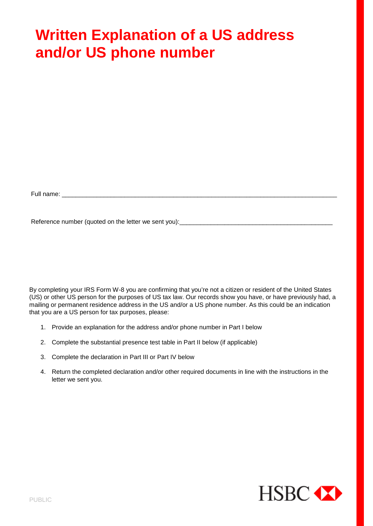# **Written Explanation of a US address and/or US phone number**

Full name: \_\_\_\_\_\_\_\_\_\_\_\_\_\_\_\_\_\_\_\_\_\_\_\_\_\_\_\_\_\_\_\_\_\_\_\_\_\_\_\_\_\_\_\_\_\_\_\_\_\_\_\_\_\_\_\_\_\_\_\_\_\_\_\_\_\_\_\_\_\_\_\_\_\_\_\_\_\_\_

Reference number (quoted on the letter we sent you):\_\_\_\_\_\_\_\_\_\_\_\_\_\_\_\_\_\_\_\_\_\_\_\_\_\_\_\_\_\_\_\_\_\_\_\_\_\_\_\_\_\_\_\_

By completing your IRS Form W-8 you are confirming that you're not a citizen or resident of the United States (US) or other US person for the purposes of US tax law. Our records show you have, or have previously had, a mailing or permanent residence address in the US and/or a US phone number. As this could be an indication that you are a US person for tax purposes, please:

- 1. Provide an explanation for the address and/or phone number in Part I below
- 2. Complete the substantial presence test table in Part II below (if applicable)
- 3. Complete the declaration in Part III or Part IV below
- 4. Return the completed declaration and/or other required documents in line with the instructions in the letter we sent you.

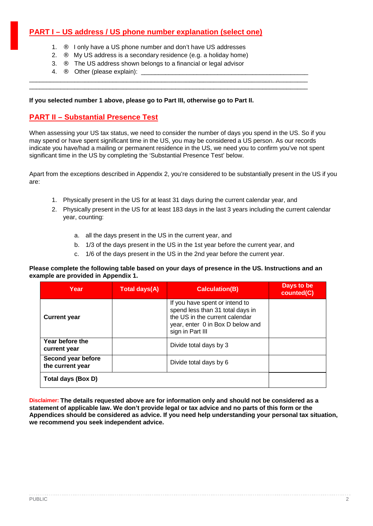# **PART I – US address / US phone number explanation (select one)**

- 1. **••** I only have a US phone number and don't have US addresses
- 2.  $\therefore$  My US address is a secondary residence (e.g. a holiday home)

\_\_\_\_\_\_\_\_\_\_\_\_\_\_\_\_\_\_\_\_\_\_\_\_\_\_\_\_\_\_\_\_\_\_\_\_\_\_\_\_\_\_\_\_\_\_\_\_\_\_\_\_\_\_\_\_\_\_\_\_\_\_\_\_\_\_\_\_\_\_\_\_\_\_\_\_\_\_\_\_ \_\_\_\_\_\_\_\_\_\_\_\_\_\_\_\_\_\_\_\_\_\_\_\_\_\_\_\_\_\_\_\_\_\_\_\_\_\_\_\_\_\_\_\_\_\_\_\_\_\_\_\_\_\_\_\_\_\_\_\_\_\_\_\_\_\_\_\_\_\_\_\_\_\_\_\_\_\_\_\_

- 3. ¨ The US address shown belongs to a financial or legal advisor
- 4. **••** Other (please explain):

### **If you selected number 1 above, please go to Part III, otherwise go to Part II.**

# **PART II – Substantial Presence Test**

When assessing your US tax status, we need to consider the number of days you spend in the US. So if you may spend or have spent significant time in the US, you may be considered a US person. As our records indicate you have/had a mailing or permanent residence in the US, we need you to confirm you've not spent significant time in the US by completing the 'Substantial Presence Test' below.

Apart from the exceptions described in Appendix 2, you're considered to be substantially present in the US if you are:

- 1. Physically present in the US for at least 31 days during the current calendar year, and
- 2. Physically present in the US for at least 183 days in the last 3 years including the current calendar year, counting:
	- a. all the days present in the US in the current year, and
	- b. 1/3 of the days present in the US in the 1st year before the current year, and
	- c. 1/6 of the days present in the US in the 2nd year before the current year.

#### **Please complete the following table based on your days of presence in the US. Instructions and an example are provided in Appendix 1.**

| Year                                   | Total days(A) | <b>Calculation(B)</b>                                                                                                                                        | Days to be<br>counted(C) |
|----------------------------------------|---------------|--------------------------------------------------------------------------------------------------------------------------------------------------------------|--------------------------|
| <b>Current year</b>                    |               | If you have spent or intend to<br>spend less than 31 total days in<br>the US in the current calendar<br>year, enter 0 in Box D below and<br>sign in Part III |                          |
| Year before the<br>current year        |               | Divide total days by 3                                                                                                                                       |                          |
| Second year before<br>the current year |               | Divide total days by 6                                                                                                                                       |                          |
| Total days (Box D)                     |               |                                                                                                                                                              |                          |

**Disclaimer: The details requested above are for information only and should not be considered as a statement of applicable law. We don't provide legal or tax advice and no parts of this form or the Appendices should be considered as advice. If you need help understanding your personal tax situation, we recommend you seek independent advice.**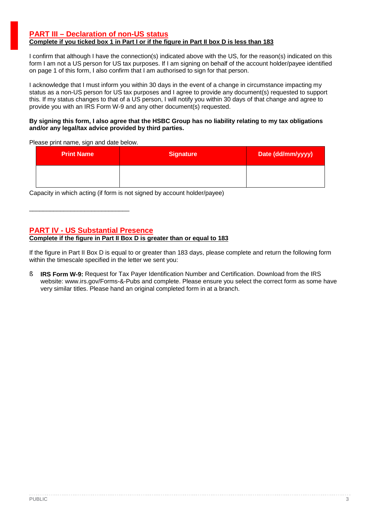### **PART III – Declaration of non-US status Complete if you ticked box 1 in Part I or if the figure in Part II box D is less than 183**

I confirm that although I have the connection(s) indicated above with the US, for the reason(s) indicated on this form I am not a US person for US tax purposes. If I am signing on behalf of the account holder/payee identified on page 1 of this form, I also confirm that I am authorised to sign for that person.

I acknowledge that I must inform you within 30 days in the event of a change in circumstance impacting my status as a non-US person for US tax purposes and I agree to provide any document(s) requested to support this. If my status changes to that of a US person, I will notify you within 30 days of that change and agree to provide you with an IRS Form W-9 and any other document(s) requested.

#### **By signing this form, I also agree that the HSBC Group has no liability relating to my tax obligations and/or any legal/tax advice provided by third parties.**

Please print name, sign and date below.

| <b>Print Name</b> | <b>Signature</b> | Date (dd/mm/yyyy) |
|-------------------|------------------|-------------------|
|                   |                  |                   |

Capacity in which acting (if form is not signed by account holder/payee)

# **PART IV - US Substantial Presence**

\_\_\_\_\_\_\_\_\_\_\_\_\_\_\_\_\_\_\_\_\_\_\_\_\_\_\_\_\_

# **Complete if the figure in Part II Box D is greater than or equal to 183**

If the figure in Part II Box D is equal to or greater than 183 days, please complete and return the following form within the timescale specified in the letter we sent you:

**§ IRS Form W-9:** Request for Tax Payer Identification Number and Certification. Download from the IRS website: www.irs.gov/Forms-&-Pubs and complete. Please ensure you select the correct form as some have very similar titles. Please hand an original completed form in at a branch.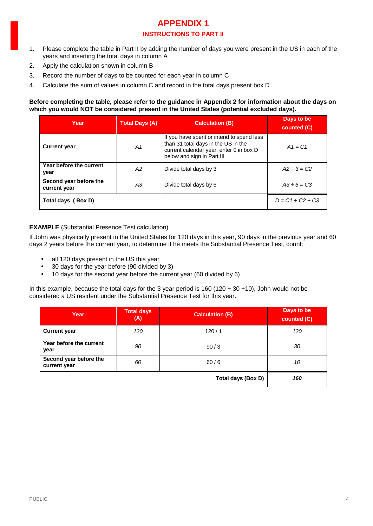# **APPENDIX 1 INSTRUCTIONS TO PART II**

- 1. Please complete the table in Part II by adding the number of days you were present in the US in each of the years and inserting the total days in column A
- 2. Apply the calculation shown in column B
- 3. Record the number of days to be counted for each year in column C
- 4. Calculate the sum of values in column C and record in the total days present box D

#### **Before completing the table, please refer to the guidance in Appendix 2 for information about the days on which you would NOT be considered present in the United States (potential excluded days).**

| Year                                   | <b>Total Days (A)</b> | <b>Calculation (B)</b>                                                                                                                                    | Days to be<br>counted (C) |
|----------------------------------------|-----------------------|-----------------------------------------------------------------------------------------------------------------------------------------------------------|---------------------------|
| <b>Current year</b>                    | A1                    | If you have spent or intend to spend less<br>than 31 total days in the US in the<br>current calendar year, enter 0 in box D<br>below and sign in Part III | $A1 = C1$                 |
| Year before the current<br>year        | А2                    | Divide total days by 3                                                                                                                                    | $A2 - 3 = C2$             |
| Second year before the<br>current year | ΑЗ                    | Divide total days by 6                                                                                                                                    | $A3 \div 6 = C3$          |
| Total days (Box D)                     |                       |                                                                                                                                                           | $D = C1 + C2 + C3$        |

# **EXAMPLE** (Substantial Presence Test calculation)

If John was physically present in the United States for 120 days in this year, 90 days in the previous year and 60 days 2 years before the current year, to determine if he meets the Substantial Presence Test, count:

- all 120 days present in the US this year ÷,
- 30 days for the year before (90 divided by 3) l,
- 10 days for the second year before the current year (60 divided by 6) J.

In this example, because the total days for the 3 year period is 160 (120 + 30 +10), John would not be considered a US resident under the Substantial Presence Test for this year.

| Year                                   | Total days<br>(A) | <b>Calculation (B)</b> | Days to be<br>counted (C) |
|----------------------------------------|-------------------|------------------------|---------------------------|
| <b>Current year</b>                    | 120               | 120/1                  | 120                       |
| Year before the current<br>year        | 90                | 90/3                   | 30                        |
| Second year before the<br>current year | 60                | 60/6                   | 10                        |
|                                        |                   | Total days (Box D)     | 160                       |